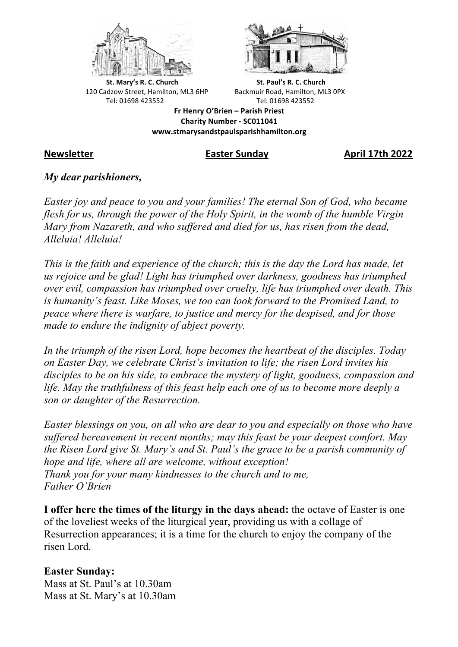



**St.** Mary's R. C. Church St. Paul's R. C. Church 120 Cadzow Street, Hamilton, ML3 6HP Backmuir Road, Hamilton, ML3 0PX Tel: 01698 423552 Tel: 01698 423552

**Fr Henry O'Brien – Parish Priest Charity Number - SC011041 www.stmarysandstpaulsparishhamilton.org**

**Newsletter Easter Sunday April 17th 2022**

## *My dear parishioners,*

*Easter joy and peace to you and your families! The eternal Son of God, who became flesh for us, through the power of the Holy Spirit, in the womb of the humble Virgin Mary from Nazareth, and who suffered and died for us, has risen from the dead, Alleluia! Alleluia!*

*This is the faith and experience of the church; this is the day the Lord has made, let us rejoice and be glad! Light has triumphed over darkness, goodness has triumphed over evil, compassion has triumphed over cruelty, life has triumphed over death. This is humanity's feast. Like Moses, we too can look forward to the Promised Land, to peace where there is warfare, to justice and mercy for the despised, and for those made to endure the indignity of abject poverty.*

*In the triumph of the risen Lord, hope becomes the heartbeat of the disciples. Today on Easter Day, we celebrate Christ's invitation to life; the risen Lord invites his disciples to be on his side, to embrace the mystery of light, goodness, compassion and life. May the truthfulness of this feast help each one of us to become more deeply a son or daughter of the Resurrection.*

*Easter blessings on you, on all who are dear to you and especially on those who have suffered bereavement in recent months; may this feast be your deepest comfort. May the Risen Lord give St. Mary's and St. Paul's the grace to be a parish community of hope and life, where all are welcome, without exception! Thank you for your many kindnesses to the church and to me, Father O'Brien*

**I offer here the times of the liturgy in the days ahead:** the octave of Easter is one of the loveliest weeks of the liturgical year, providing us with a collage of Resurrection appearances; it is a time for the church to enjoy the company of the risen Lord.

### **Easter Sunday:**

Mass at St. Paul's at 10.30am Mass at St. Mary's at 10.30am